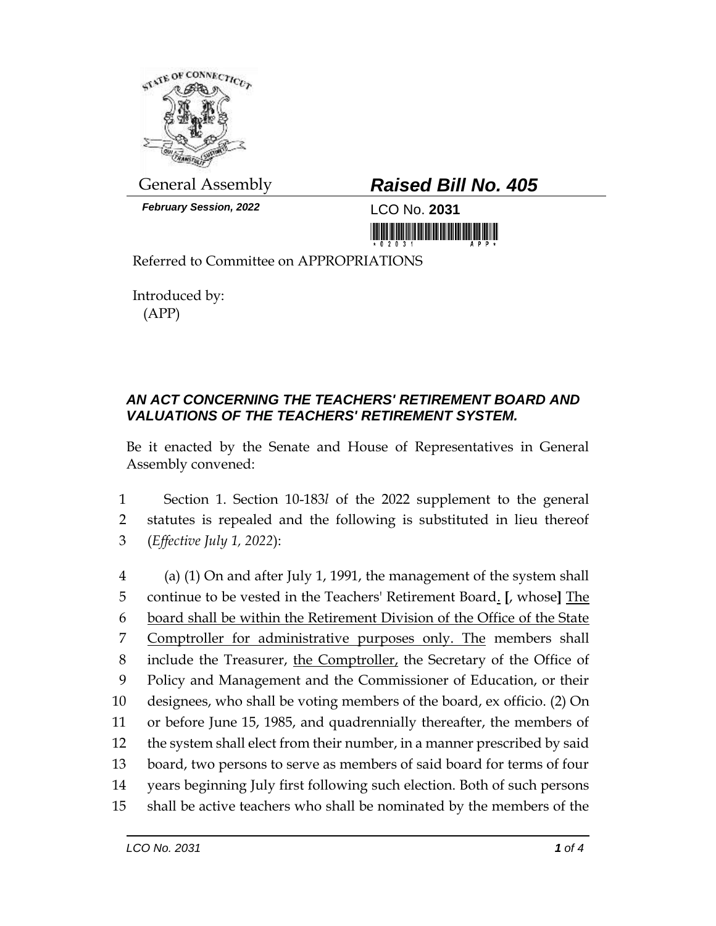

*February Session, 2022* LCO No. **2031**

## General Assembly *Raised Bill No. 405*

<u>Tin in in ini ini manana manin</u>

Referred to Committee on APPROPRIATIONS

Introduced by: (APP)

## *AN ACT CONCERNING THE TEACHERS' RETIREMENT BOARD AND VALUATIONS OF THE TEACHERS' RETIREMENT SYSTEM.*

Be it enacted by the Senate and House of Representatives in General Assembly convened:

1 Section 1. Section 10-183*l* of the 2022 supplement to the general 2 statutes is repealed and the following is substituted in lieu thereof 3 (*Effective July 1, 2022*):

 (a) (1) On and after July 1, 1991, the management of the system shall continue to be vested in the Teachers' Retirement Board. **[**, whose**]** The board shall be within the Retirement Division of the Office of the State Comptroller for administrative purposes only. The members shall 8 include the Treasurer, the Comptroller, the Secretary of the Office of Policy and Management and the Commissioner of Education, or their designees, who shall be voting members of the board, ex officio. (2) On or before June 15, 1985, and quadrennially thereafter, the members of the system shall elect from their number, in a manner prescribed by said board, two persons to serve as members of said board for terms of four years beginning July first following such election. Both of such persons shall be active teachers who shall be nominated by the members of the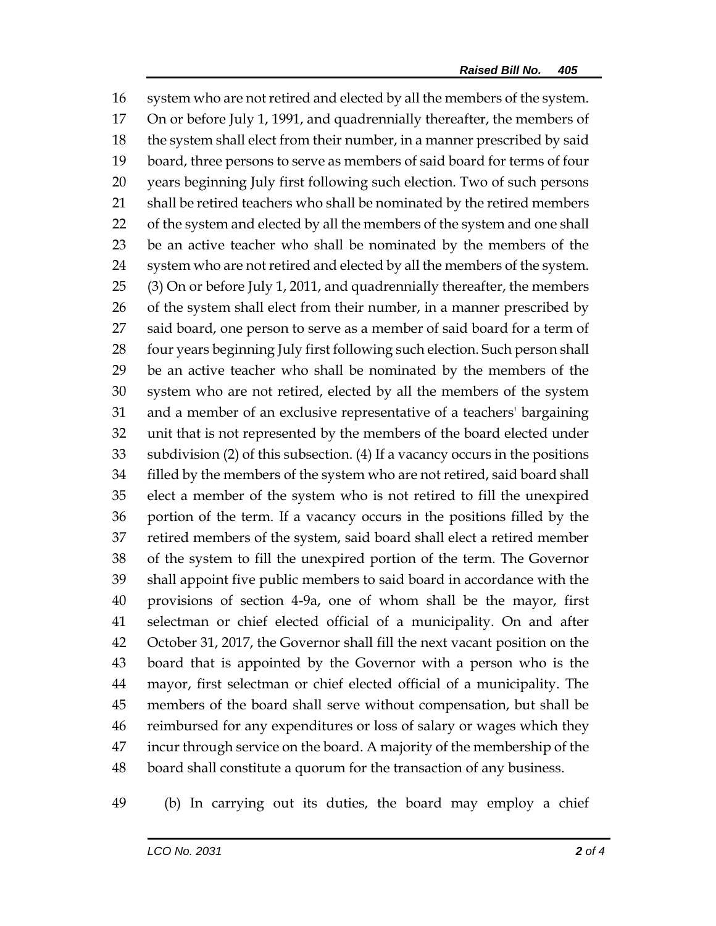system who are not retired and elected by all the members of the system. On or before July 1, 1991, and quadrennially thereafter, the members of the system shall elect from their number, in a manner prescribed by said board, three persons to serve as members of said board for terms of four years beginning July first following such election. Two of such persons 21 shall be retired teachers who shall be nominated by the retired members of the system and elected by all the members of the system and one shall be an active teacher who shall be nominated by the members of the system who are not retired and elected by all the members of the system. (3) On or before July 1, 2011, and quadrennially thereafter, the members 26 of the system shall elect from their number, in a manner prescribed by 27 said board, one person to serve as a member of said board for a term of 28 four years beginning July first following such election. Such person shall be an active teacher who shall be nominated by the members of the system who are not retired, elected by all the members of the system and a member of an exclusive representative of a teachers' bargaining unit that is not represented by the members of the board elected under subdivision (2) of this subsection. (4) If a vacancy occurs in the positions filled by the members of the system who are not retired, said board shall elect a member of the system who is not retired to fill the unexpired portion of the term. If a vacancy occurs in the positions filled by the retired members of the system, said board shall elect a retired member of the system to fill the unexpired portion of the term. The Governor shall appoint five public members to said board in accordance with the provisions of section 4-9a, one of whom shall be the mayor, first selectman or chief elected official of a municipality. On and after October 31, 2017, the Governor shall fill the next vacant position on the board that is appointed by the Governor with a person who is the mayor, first selectman or chief elected official of a municipality. The members of the board shall serve without compensation, but shall be reimbursed for any expenditures or loss of salary or wages which they incur through service on the board. A majority of the membership of the board shall constitute a quorum for the transaction of any business.

(b) In carrying out its duties, the board may employ a chief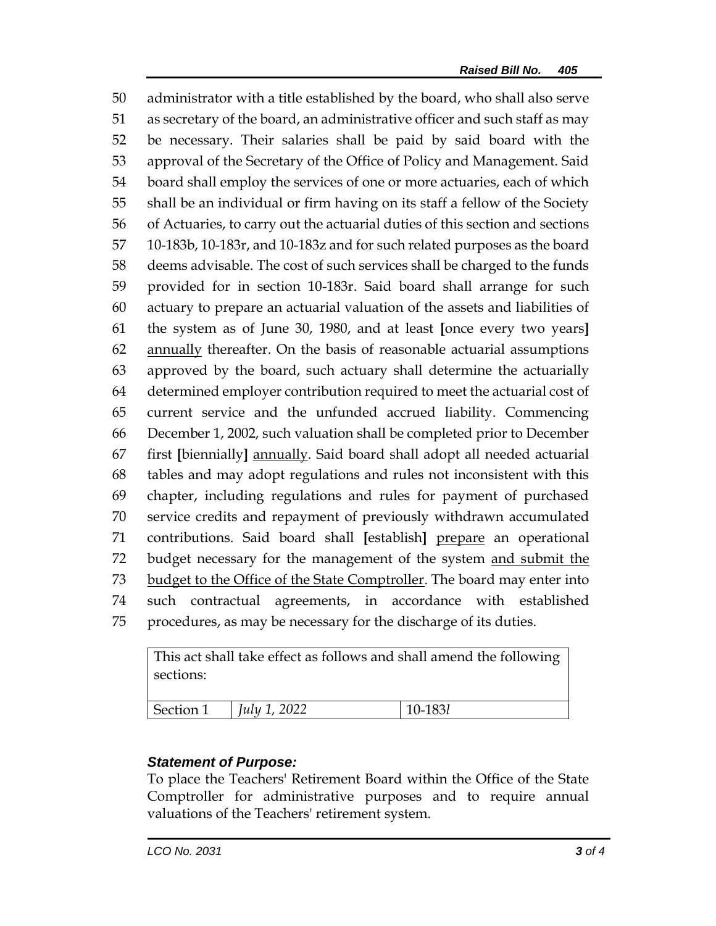administrator with a title established by the board, who shall also serve as secretary of the board, an administrative officer and such staff as may be necessary. Their salaries shall be paid by said board with the approval of the Secretary of the Office of Policy and Management. Said board shall employ the services of one or more actuaries, each of which shall be an individual or firm having on its staff a fellow of the Society of Actuaries, to carry out the actuarial duties of this section and sections 10-183b, 10-183r, and 10-183z and for such related purposes as the board deems advisable. The cost of such services shall be charged to the funds provided for in section 10-183r. Said board shall arrange for such actuary to prepare an actuarial valuation of the assets and liabilities of the system as of June 30, 1980, and at least **[**once every two years**]**  annually thereafter. On the basis of reasonable actuarial assumptions approved by the board, such actuary shall determine the actuarially determined employer contribution required to meet the actuarial cost of current service and the unfunded accrued liability. Commencing December 1, 2002, such valuation shall be completed prior to December first **[**biennially**]** annually. Said board shall adopt all needed actuarial tables and may adopt regulations and rules not inconsistent with this chapter, including regulations and rules for payment of purchased service credits and repayment of previously withdrawn accumulated contributions. Said board shall **[**establish**]** prepare an operational 72 budget necessary for the management of the system and submit the budget to the Office of the State Comptroller. The board may enter into such contractual agreements, in accordance with established procedures, as may be necessary for the discharge of its duties.

This act shall take effect as follows and shall amend the following sections:

| <b>Section 1</b> | 2022<br>July 1<br>20.4 | 1921<br>. |
|------------------|------------------------|-----------|

## *Statement of Purpose:*

To place the Teachers' Retirement Board within the Office of the State Comptroller for administrative purposes and to require annual valuations of the Teachers' retirement system.